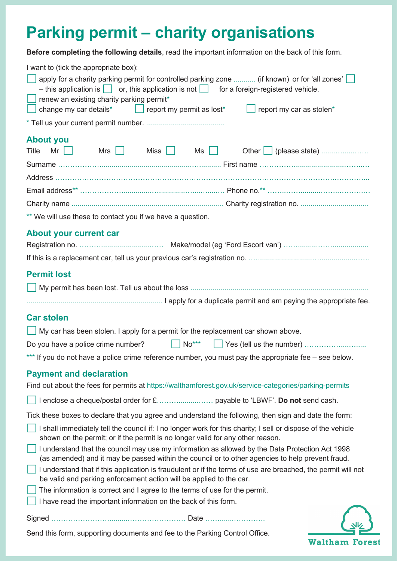# **Parking permit – charity organisations**

**Before completing the following details**, read the important information on the back of this form.

| I want to (tick the appropriate box):<br>$\Box$ apply for a charity parking permit for controlled parking zone  (if known) or for 'all zones' $\Box$<br>- this application is $\Box$ or, this application is not $\Box$ for a foreign-registered vehicle.<br>$\Box$ renew an existing charity parking permit*<br>change my car details $\left  \begin{array}{c} \end{array} \right $ report my permit as lost $\ast$<br>$\Box$ report my car as stolen <sup>*</sup> |
|---------------------------------------------------------------------------------------------------------------------------------------------------------------------------------------------------------------------------------------------------------------------------------------------------------------------------------------------------------------------------------------------------------------------------------------------------------------------|
|                                                                                                                                                                                                                                                                                                                                                                                                                                                                     |
| <b>About you</b><br>Mr   Mrs   Miss   Ms   Other   (please state)<br>Title                                                                                                                                                                                                                                                                                                                                                                                          |
|                                                                                                                                                                                                                                                                                                                                                                                                                                                                     |
|                                                                                                                                                                                                                                                                                                                                                                                                                                                                     |
|                                                                                                                                                                                                                                                                                                                                                                                                                                                                     |
| ** We will use these to contact you if we have a question.                                                                                                                                                                                                                                                                                                                                                                                                          |
| <b>About your current car</b>                                                                                                                                                                                                                                                                                                                                                                                                                                       |
| <b>Permit lost</b>                                                                                                                                                                                                                                                                                                                                                                                                                                                  |
|                                                                                                                                                                                                                                                                                                                                                                                                                                                                     |
|                                                                                                                                                                                                                                                                                                                                                                                                                                                                     |
| <b>Car stolen</b>                                                                                                                                                                                                                                                                                                                                                                                                                                                   |
| $\Box$ My car has been stolen. I apply for a permit for the replacement car shown above.                                                                                                                                                                                                                                                                                                                                                                            |
| $\Box$ No***<br>Do you have a police crime number?                                                                                                                                                                                                                                                                                                                                                                                                                  |
| *** If you do not have a police crime reference number, you must pay the appropriate fee - see below.                                                                                                                                                                                                                                                                                                                                                               |
| <b>Payment and declaration</b>                                                                                                                                                                                                                                                                                                                                                                                                                                      |
| Find out about the fees for permits at https://walthamforest.gov.uk/service-categories/parking-permits                                                                                                                                                                                                                                                                                                                                                              |
|                                                                                                                                                                                                                                                                                                                                                                                                                                                                     |
| Tick these boxes to declare that you agree and understand the following, then sign and date the form:                                                                                                                                                                                                                                                                                                                                                               |
| I shall immediately tell the council if: I no longer work for this charity; I sell or dispose of the vehicle<br>shown on the permit; or if the permit is no longer valid for any other reason.                                                                                                                                                                                                                                                                      |
| I understand that the council may use my information as allowed by the Data Protection Act 1998<br>(as amended) and it may be passed within the council or to other agencies to help prevent fraud.                                                                                                                                                                                                                                                                 |
| I understand that if this application is fraudulent or if the terms of use are breached, the permit will not<br>be valid and parking enforcement action will be applied to the car.                                                                                                                                                                                                                                                                                 |
| The information is correct and I agree to the terms of use for the permit.                                                                                                                                                                                                                                                                                                                                                                                          |
| I have read the important information on the back of this form.                                                                                                                                                                                                                                                                                                                                                                                                     |
|                                                                                                                                                                                                                                                                                                                                                                                                                                                                     |

Send this form, supporting documents and fee to the Parking Control Office.